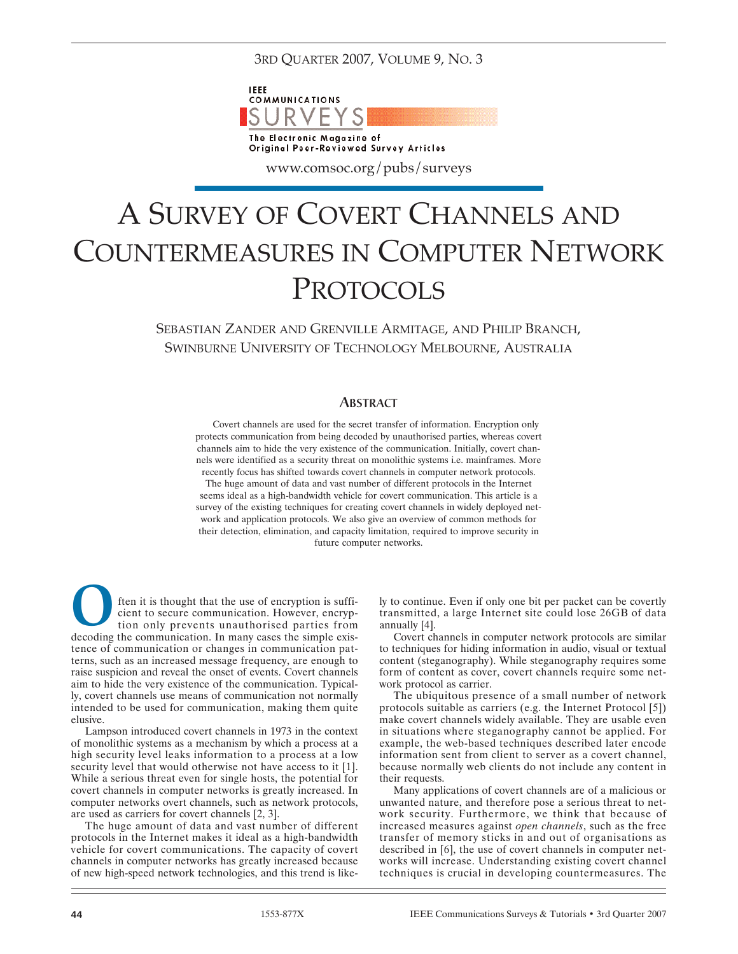3RD QUARTER 2007, VOLUME 9, NO. 3



www.comsoc.org/pubs/surveys

# A SURVEY OF COVERT CHANNELS AND COUNTERMEASURES IN COMPUTER NETWORK PROTOCOLS

SEBASTIAN ZANDER AND GRENVILLE ARMITAGE, AND PHILIP BRANCH, SWINBURNE UNIVERSITY OF TECHNOLOGY MELBOURNE, AUSTRALIA

# ABSTRACT

Covert channels are used for the secret transfer of information. Encryption only protects communication from being decoded by unauthorised parties, whereas covert channels aim to hide the very existence of the communication. Initially, covert channels were identified as a security threat on monolithic systems i.e. mainframes. More

recently focus has shifted towards covert channels in computer network protocols. The huge amount of data and vast number of different protocols in the Internet seems ideal as a high-bandwidth vehicle for covert communication. This article is a survey of the existing techniques for creating covert channels in widely deployed network and application protocols. We also give an overview of common methods for their detection, elimination, and capacity limitation, required to improve security in future computer networks.

ften it is thought that the use of encryption is sufficient to secure communication. However, encryption only prevents unauthorised parties from decoding the communication. In many cases the simple existence of communication or changes in communication patterns, such as an increased message frequency, are enough to raise suspicion and reveal the onset of events. Covert channels aim to hide the very existence of the communication. Typically, covert channels use means of communication not normally intended to be used for communication, making them quite elusive. O

Lampson introduced covert channels in 1973 in the context of monolithic systems as a mechanism by which a process at a high security level leaks information to a process at a low security level that would otherwise not have access to it [1]. While a serious threat even for single hosts, the potential for covert channels in computer networks is greatly increased. In computer networks overt channels, such as network protocols, are used as carriers for covert channels [2, 3].

The huge amount of data and vast number of different protocols in the Internet makes it ideal as a high-bandwidth vehicle for covert communications. The capacity of covert channels in computer networks has greatly increased because of new high-speed network technologies, and this trend is likely to continue. Even if only one bit per packet can be covertly transmitted, a large Internet site could lose 26GB of data annually [4].

Covert channels in computer network protocols are similar to techniques for hiding information in audio, visual or textual content (steganography). While steganography requires some form of content as cover, covert channels require some network protocol as carrier.

The ubiquitous presence of a small number of network protocols suitable as carriers (e.g. the Internet Protocol [5]) make covert channels widely available. They are usable even in situations where steganography cannot be applied. For example, the web-based techniques described later encode information sent from client to server as a covert channel, because normally web clients do not include any content in their requests.

Many applications of covert channels are of a malicious or unwanted nature, and therefore pose a serious threat to network security. Furthermore, we think that because of increased measures against *open channels*, such as the free transfer of memory sticks in and out of organisations as described in [6], the use of covert channels in computer networks will increase. Understanding existing covert channel techniques is crucial in developing countermeasures. The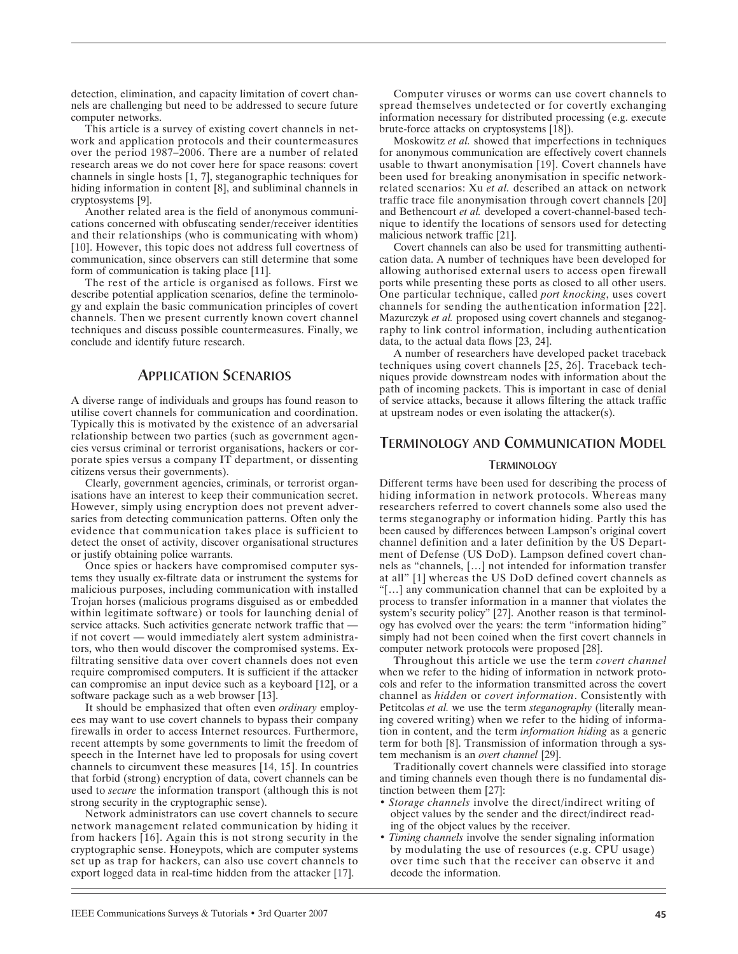detection, elimination, and capacity limitation of covert channels are challenging but need to be addressed to secure future computer networks.

This article is a survey of existing covert channels in network and application protocols and their countermeasures over the period 1987–2006. There are a number of related research areas we do not cover here for space reasons: covert channels in single hosts [1, 7], steganographic techniques for hiding information in content [8], and subliminal channels in cryptosystems [9].

Another related area is the field of anonymous communications concerned with obfuscating sender/receiver identities and their relationships (who is communicating with whom) [10]. However, this topic does not address full covertness of communication, since observers can still determine that some form of communication is taking place [11].

The rest of the article is organised as follows. First we describe potential application scenarios, define the terminology and explain the basic communication principles of covert channels. Then we present currently known covert channel techniques and discuss possible countermeasures. Finally, we conclude and identify future research.

# APPLICATION SCENARIOS

A diverse range of individuals and groups has found reason to utilise covert channels for communication and coordination. Typically this is motivated by the existence of an adversarial relationship between two parties (such as government agencies versus criminal or terrorist organisations, hackers or corporate spies versus a company IT department, or dissenting citizens versus their governments).

Clearly, government agencies, criminals, or terrorist organisations have an interest to keep their communication secret. However, simply using encryption does not prevent adversaries from detecting communication patterns. Often only the evidence that communication takes place is sufficient to detect the onset of activity, discover organisational structures or justify obtaining police warrants.

Once spies or hackers have compromised computer systems they usually ex-filtrate data or instrument the systems for malicious purposes, including communication with installed Trojan horses (malicious programs disguised as or embedded within legitimate software) or tools for launching denial of service attacks. Such activities generate network traffic that if not covert — would immediately alert system administrators, who then would discover the compromised systems. Exfiltrating sensitive data over covert channels does not even require compromised computers. It is sufficient if the attacker can compromise an input device such as a keyboard [12], or a software package such as a web browser [13].

It should be emphasized that often even *ordinary* employees may want to use covert channels to bypass their company firewalls in order to access Internet resources. Furthermore, recent attempts by some governments to limit the freedom of speech in the Internet have led to proposals for using covert channels to circumvent these measures [14, 15]. In countries that forbid (strong) encryption of data, covert channels can be used to *secure* the information transport (although this is not strong security in the cryptographic sense).

Network administrators can use covert channels to secure network management related communication by hiding it from hackers [16]. Again this is not strong security in the cryptographic sense. Honeypots, which are computer systems set up as trap for hackers, can also use covert channels to export logged data in real-time hidden from the attacker [17].

Computer viruses or worms can use covert channels to spread themselves undetected or for covertly exchanging information necessary for distributed processing (e.g. execute brute-force attacks on cryptosystems [18]).

Moskowitz *et al.* showed that imperfections in techniques for anonymous communication are effectively covert channels usable to thwart anonymisation [19]. Covert channels have been used for breaking anonymisation in specific networkrelated scenarios: Xu *et al.* described an attack on network traffic trace file anonymisation through covert channels [20] and Bethencourt *et al.* developed a covert-channel-based technique to identify the locations of sensors used for detecting malicious network traffic [21].

Covert channels can also be used for transmitting authentication data. A number of techniques have been developed for allowing authorised external users to access open firewall ports while presenting these ports as closed to all other users. One particular technique, called *port knocking*, uses covert channels for sending the authentication information [22]. Mazurczyk *et al.* proposed using covert channels and steganography to link control information, including authentication data, to the actual data flows [23, 24].

A number of researchers have developed packet traceback techniques using covert channels [25, 26]. Traceback techniques provide downstream nodes with information about the path of incoming packets. This is important in case of denial of service attacks, because it allows filtering the attack traffic at upstream nodes or even isolating the attacker(s).

# TERMINOLOGY AND COMMUNICATION MODEL

### **TERMINOLOGY**

Different terms have been used for describing the process of hiding information in network protocols. Whereas many researchers referred to covert channels some also used the terms steganography or information hiding. Partly this has been caused by differences between Lampson's original covert channel definition and a later definition by the US Department of Defense (US DoD). Lampson defined covert channels as "channels, […] not intended for information transfer at all" [1] whereas the US DoD defined covert channels as "[…] any communication channel that can be exploited by a process to transfer information in a manner that violates the system's security policy" [27]. Another reason is that terminology has evolved over the years: the term "information hiding" simply had not been coined when the first covert channels in computer network protocols were proposed [28].

Throughout this article we use the term *covert channel* when we refer to the hiding of information in network protocols and refer to the information transmitted across the covert channel as *hidden* or *covert information*. Consistently with Petitcolas *et al.* we use the term *steganography* (literally meaning covered writing) when we refer to the hiding of information in content, and the term *information hiding* as a generic term for both [8]. Transmission of information through a system mechanism is an *overt channel* [29].

Traditionally covert channels were classified into storage and timing channels even though there is no fundamental distinction between them [27]:

- *Storage channels* involve the direct/indirect writing of object values by the sender and the direct/indirect reading of the object values by the receiver.
- *Timing channels* involve the sender signaling information by modulating the use of resources (e.g. CPU usage) over time such that the receiver can observe it and decode the information.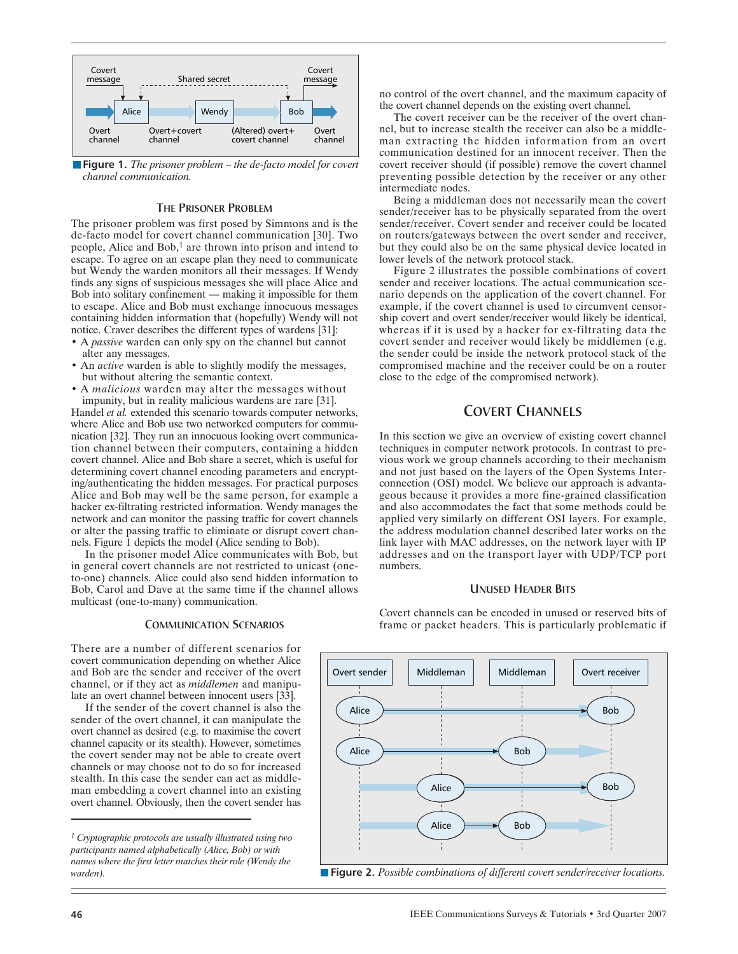

n**Figure 1.** *The prisoner problem – the de-facto model for covert channel communication.*

### THE PRISONER PROBLEM

The prisoner problem was first posed by Simmons and is the de-facto model for covert channel communication [30]. Two people, Alice and Bob,<sup>1</sup> are thrown into prison and intend to escape. To agree on an escape plan they need to communicate but Wendy the warden monitors all their messages. If Wendy finds any signs of suspicious messages she will place Alice and Bob into solitary confinement — making it impossible for them to escape. Alice and Bob must exchange innocuous messages containing hidden information that (hopefully) Wendy will not notice. Craver describes the different types of wardens [31]:

- A *passive* warden can only spy on the channel but cannot alter any messages.
- An *active* warden is able to slightly modify the messages, but without altering the semantic context.
- A *malicious* warden may alter the messages without impunity, but in reality malicious wardens are rare [31].

Handel *et al.* extended this scenario towards computer networks, where Alice and Bob use two networked computers for communication [32]. They run an innocuous looking overt communication channel between their computers, containing a hidden covert channel. Alice and Bob share a secret, which is useful for determining covert channel encoding parameters and encrypting/authenticating the hidden messages. For practical purposes Alice and Bob may well be the same person, for example a hacker ex-filtrating restricted information. Wendy manages the network and can monitor the passing traffic for covert channels or alter the passing traffic to eliminate or disrupt covert channels. Figure 1 depicts the model (Alice sending to Bob).

In the prisoner model Alice communicates with Bob, but in general covert channels are not restricted to unicast (oneto-one) channels. Alice could also send hidden information to Bob, Carol and Dave at the same time if the channel allows multicast (one-to-many) communication.

#### COMMUNICATION SCENARIOS

There are a number of different scenarios for covert communication depending on whether Alice and Bob are the sender and receiver of the overt channel, or if they act as *middlemen* and manipulate an overt channel between innocent users [33].

If the sender of the covert channel is also the sender of the overt channel, it can manipulate the overt channel as desired (e.g. to maximise the covert channel capacity or its stealth). However, sometimes the covert sender may not be able to create overt channels or may choose not to do so for increased stealth. In this case the sender can act as middleman embedding a covert channel into an existing overt channel. Obviously, then the covert sender has no control of the overt channel, and the maximum capacity of the covert channel depends on the existing overt channel.

The covert receiver can be the receiver of the overt channel, but to increase stealth the receiver can also be a middleman extracting the hidden information from an overt communication destined for an innocent receiver. Then the covert receiver should (if possible) remove the covert channel preventing possible detection by the receiver or any other intermediate nodes.

Being a middleman does not necessarily mean the covert sender/receiver has to be physically separated from the overt sender/receiver. Covert sender and receiver could be located on routers/gateways between the overt sender and receiver, but they could also be on the same physical device located in lower levels of the network protocol stack.

Figure 2 illustrates the possible combinations of covert sender and receiver locations. The actual communication scenario depends on the application of the covert channel. For example, if the covert channel is used to circumvent censorship covert and overt sender/receiver would likely be identical, whereas if it is used by a hacker for ex-filtrating data the covert sender and receiver would likely be middlemen (e.g. the sender could be inside the network protocol stack of the compromised machine and the receiver could be on a router close to the edge of the compromised network).

# COVERT CHANNELS

In this section we give an overview of existing covert channel techniques in computer network protocols. In contrast to previous work we group channels according to their mechanism and not just based on the layers of the Open Systems Interconnection (OSI) model. We believe our approach is advantageous because it provides a more fine-grained classification and also accommodates the fact that some methods could be applied very similarly on different OSI layers. For example, the address modulation channel described later works on the link layer with MAC addresses, on the network layer with IP addresses and on the transport layer with UDP/TCP port numbers.

# UNUSED HEADER BITS

Covert channels can be encoded in unused or reserved bits of frame or packet headers. This is particularly problematic if



n**Figure 2.** *Possible combinations of different covert sender/receiver locations.*

*<sup>1</sup> Cryptographic protocols are usually illustrated using two participants named alphabetically (Alice, Bob) or with names where the first letter matches their role (Wendy the warden).*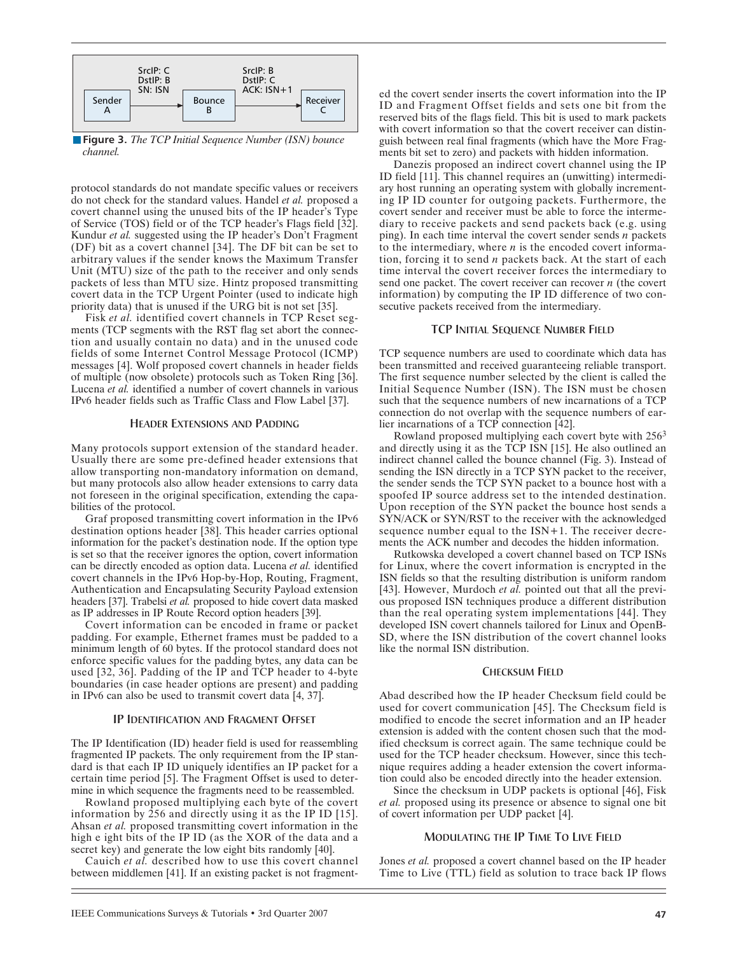

**Figure 3.** *The TCP Initial Sequence Number (ISN) bounce channel.*

protocol standards do not mandate specific values or receivers do not check for the standard values. Handel *et al.* proposed a covert channel using the unused bits of the IP header's Type of Service (TOS) field or of the TCP header's Flags field [32]. Kundur *et al.* suggested using the IP header's Don't Fragment (DF) bit as a covert channel [34]. The DF bit can be set to arbitrary values if the sender knows the Maximum Transfer Unit (MTU) size of the path to the receiver and only sends packets of less than MTU size. Hintz proposed transmitting covert data in the TCP Urgent Pointer (used to indicate high priority data) that is unused if the URG bit is not set [35].

Fisk *et al.* identified covert channels in TCP Reset segments (TCP segments with the RST flag set abort the connection and usually contain no data) and in the unused code fields of some Internet Control Message Protocol (ICMP) messages [4]. Wolf proposed covert channels in header fields of multiple (now obsolete) protocols such as Token Ring [36]. Lucena *et al.* identified a number of covert channels in various IPv6 header fields such as Traffic Class and Flow Label [37].

### HEADER EXTENSIONS AND PADDING

Many protocols support extension of the standard header. Usually there are some pre-defined header extensions that allow transporting non-mandatory information on demand, but many protocols also allow header extensions to carry data not foreseen in the original specification, extending the capabilities of the protocol.

Graf proposed transmitting covert information in the IPv6 destination options header [38]. This header carries optional information for the packet's destination node. If the option type is set so that the receiver ignores the option, covert information can be directly encoded as option data. Lucena *et al.* identified covert channels in the IPv6 Hop-by-Hop, Routing, Fragment, Authentication and Encapsulating Security Payload extension headers [37]. Trabelsi *et al.* proposed to hide covert data masked as IP addresses in IP Route Record option headers [39].

Covert information can be encoded in frame or packet padding. For example, Ethernet frames must be padded to a minimum length of 60 bytes. If the protocol standard does not enforce specific values for the padding bytes, any data can be used [32, 36]. Padding of the IP and TCP header to 4-byte boundaries (in case header options are present) and padding in IPv6 can also be used to transmit covert data [4, 37].

### IP IDENTIFICATION AND FRAGMENT OFFSET

The IP Identification (ID) header field is used for reassembling fragmented IP packets. The only requirement from the IP standard is that each IP ID uniquely identifies an IP packet for a certain time period [5]. The Fragment Offset is used to determine in which sequence the fragments need to be reassembled.

Rowland proposed multiplying each byte of the covert information by 256 and directly using it as the IP ID [15]. Ahsan *et al.* proposed transmitting covert information in the high e ight bits of the IP ID (as the XOR of the data and a secret key) and generate the low eight bits randomly [40].

Cauich *et al.* described how to use this covert channel between middlemen [41]. If an existing packet is not fragmented the covert sender inserts the covert information into the IP ID and Fragment Offset fields and sets one bit from the reserved bits of the flags field. This bit is used to mark packets with covert information so that the covert receiver can distinguish between real final fragments (which have the More Fragments bit set to zero) and packets with hidden information.

Danezis proposed an indirect covert channel using the IP ID field [11]. This channel requires an (unwitting) intermediary host running an operating system with globally incrementing IP ID counter for outgoing packets. Furthermore, the covert sender and receiver must be able to force the intermediary to receive packets and send packets back (e.g. using ping). In each time interval the covert sender sends *n* packets to the intermediary, where *n* is the encoded covert information, forcing it to send *n* packets back. At the start of each time interval the covert receiver forces the intermediary to send one packet. The covert receiver can recover *n* (the covert information) by computing the IP ID difference of two consecutive packets received from the intermediary.

### TCP INITIAL SEQUENCE NUMBER FIELD

TCP sequence numbers are used to coordinate which data has been transmitted and received guaranteeing reliable transport. The first sequence number selected by the client is called the Initial Sequence Number (ISN). The ISN must be chosen such that the sequence numbers of new incarnations of a TCP connection do not overlap with the sequence numbers of earlier incarnations of a TCP connection [42].

Rowland proposed multiplying each covert byte with 256<sup>3</sup> and directly using it as the TCP ISN [15]. He also outlined an indirect channel called the bounce channel (Fig. 3). Instead of sending the ISN directly in a TCP SYN packet to the receiver, the sender sends the TCP SYN packet to a bounce host with a spoofed IP source address set to the intended destination. Upon reception of the SYN packet the bounce host sends a SYN/ACK or SYN/RST to the receiver with the acknowledged sequence number equal to the ISN+1. The receiver decrements the ACK number and decodes the hidden information.

Rutkowska developed a covert channel based on TCP ISNs for Linux, where the covert information is encrypted in the ISN fields so that the resulting distribution is uniform random [43]. However, Murdoch *et al.* pointed out that all the previous proposed ISN techniques produce a different distribution than the real operating system implementations [44]. They developed ISN covert channels tailored for Linux and OpenB-SD, where the ISN distribution of the covert channel looks like the normal ISN distribution.

### CHECKSUM FIELD

Abad described how the IP header Checksum field could be used for covert communication [45]. The Checksum field is modified to encode the secret information and an IP header extension is added with the content chosen such that the modified checksum is correct again. The same technique could be used for the TCP header checksum. However, since this technique requires adding a header extension the covert information could also be encoded directly into the header extension.

Since the checksum in UDP packets is optional [46], Fisk *et al.* proposed using its presence or absence to signal one bit of covert information per UDP packet [4].

### MODULATING THE IP TIME TO LIVE FIELD

Jones *et al.* proposed a covert channel based on the IP header Time to Live (TTL) field as solution to trace back IP flows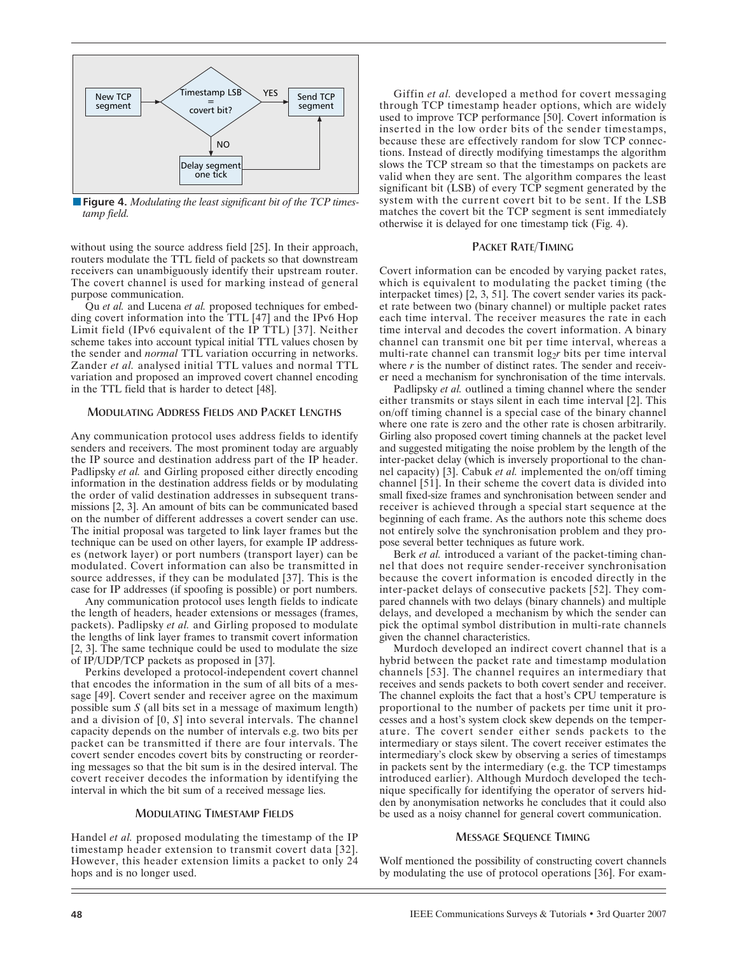

n**Figure 4.** *Modulating the least significant bit of the TCP timestamp field.*

without using the source address field [25]. In their approach, routers modulate the TTL field of packets so that downstream receivers can unambiguously identify their upstream router. The covert channel is used for marking instead of general purpose communication.

Qu *et al.* and Lucena *et al.* proposed techniques for embedding covert information into the TTL [47] and the IPv6 Hop Limit field (IPv6 equivalent of the IP TTL) [37]. Neither scheme takes into account typical initial TTL values chosen by the sender and *normal* TTL variation occurring in networks. Zander *et al.* analysed initial TTL values and normal TTL variation and proposed an improved covert channel encoding in the TTL field that is harder to detect [48].

### MODULATING ADDRESS FIELDS AND PACKET LENGTHS

Any communication protocol uses address fields to identify senders and receivers. The most prominent today are arguably the IP source and destination address part of the IP header. Padlipsky *et al.* and Girling proposed either directly encoding information in the destination address fields or by modulating the order of valid destination addresses in subsequent transmissions [2, 3]. An amount of bits can be communicated based on the number of different addresses a covert sender can use. The initial proposal was targeted to link layer frames but the technique can be used on other layers, for example IP addresses (network layer) or port numbers (transport layer) can be modulated. Covert information can also be transmitted in source addresses, if they can be modulated [37]. This is the case for IP addresses (if spoofing is possible) or port numbers.

Any communication protocol uses length fields to indicate the length of headers, header extensions or messages (frames, packets). Padlipsky *et al.* and Girling proposed to modulate the lengths of link layer frames to transmit covert information [2, 3]. The same technique could be used to modulate the size of IP/UDP/TCP packets as proposed in [37].

Perkins developed a protocol-independent covert channel that encodes the information in the sum of all bits of a message [49]. Covert sender and receiver agree on the maximum possible sum *S* (all bits set in a message of maximum length) and a division of [0, *S*] into several intervals. The channel capacity depends on the number of intervals e.g. two bits per packet can be transmitted if there are four intervals. The covert sender encodes covert bits by constructing or reordering messages so that the bit sum is in the desired interval. The covert receiver decodes the information by identifying the interval in which the bit sum of a received message lies.

### MODULATING TIMESTAMP FIELDS

Handel *et al.* proposed modulating the timestamp of the IP timestamp header extension to transmit covert data [32]. However, this header extension limits a packet to only 24 hops and is no longer used.

Giffin *et al.* developed a method for covert messaging through TCP timestamp header options, which are widely used to improve TCP performance [50]. Covert information is inserted in the low order bits of the sender timestamps, because these are effectively random for slow TCP connections. Instead of directly modifying timestamps the algorithm slows the TCP stream so that the timestamps on packets are valid when they are sent. The algorithm compares the least significant bit (LSB) of every TCP segment generated by the system with the current covert bit to be sent. If the LSB matches the covert bit the TCP segment is sent immediately otherwise it is delayed for one timestamp tick (Fig. 4).

### PACKET RATE/TIMING

Covert information can be encoded by varying packet rates, which is equivalent to modulating the packet timing (the interpacket times) [2, 3, 51]. The covert sender varies its packet rate between two (binary channel) or multiple packet rates each time interval. The receiver measures the rate in each time interval and decodes the covert information. A binary channel can transmit one bit per time interval, whereas a multi-rate channel can transmit log<sub>2</sub>r bits per time interval where *r* is the number of distinct rates. The sender and receiver need a mechanism for synchronisation of the time intervals.

Padlipsky *et al.* outlined a timing channel where the sender either transmits or stays silent in each time interval [2]. This on/off timing channel is a special case of the binary channel where one rate is zero and the other rate is chosen arbitrarily. Girling also proposed covert timing channels at the packet level and suggested mitigating the noise problem by the length of the inter-packet delay (which is inversely proportional to the channel capacity) [3]. Cabuk *et al.* implemented the on/off timing channel [51]. In their scheme the covert data is divided into small fixed-size frames and synchronisation between sender and receiver is achieved through a special start sequence at the beginning of each frame. As the authors note this scheme does not entirely solve the synchronisation problem and they propose several better techniques as future work.

Berk *et al.* introduced a variant of the packet-timing channel that does not require sender-receiver synchronisation because the covert information is encoded directly in the inter-packet delays of consecutive packets [52]. They compared channels with two delays (binary channels) and multiple delays, and developed a mechanism by which the sender can pick the optimal symbol distribution in multi-rate channels given the channel characteristics.

Murdoch developed an indirect covert channel that is a hybrid between the packet rate and timestamp modulation channels [53]. The channel requires an intermediary that receives and sends packets to both covert sender and receiver. The channel exploits the fact that a host's CPU temperature is proportional to the number of packets per time unit it processes and a host's system clock skew depends on the temperature. The covert sender either sends packets to the intermediary or stays silent. The covert receiver estimates the intermediary's clock skew by observing a series of timestamps in packets sent by the intermediary (e.g. the TCP timestamps introduced earlier). Although Murdoch developed the technique specifically for identifying the operator of servers hidden by anonymisation networks he concludes that it could also be used as a noisy channel for general covert communication.

### MESSAGE SEQUENCE TIMING

Wolf mentioned the possibility of constructing covert channels by modulating the use of protocol operations [36]. For exam-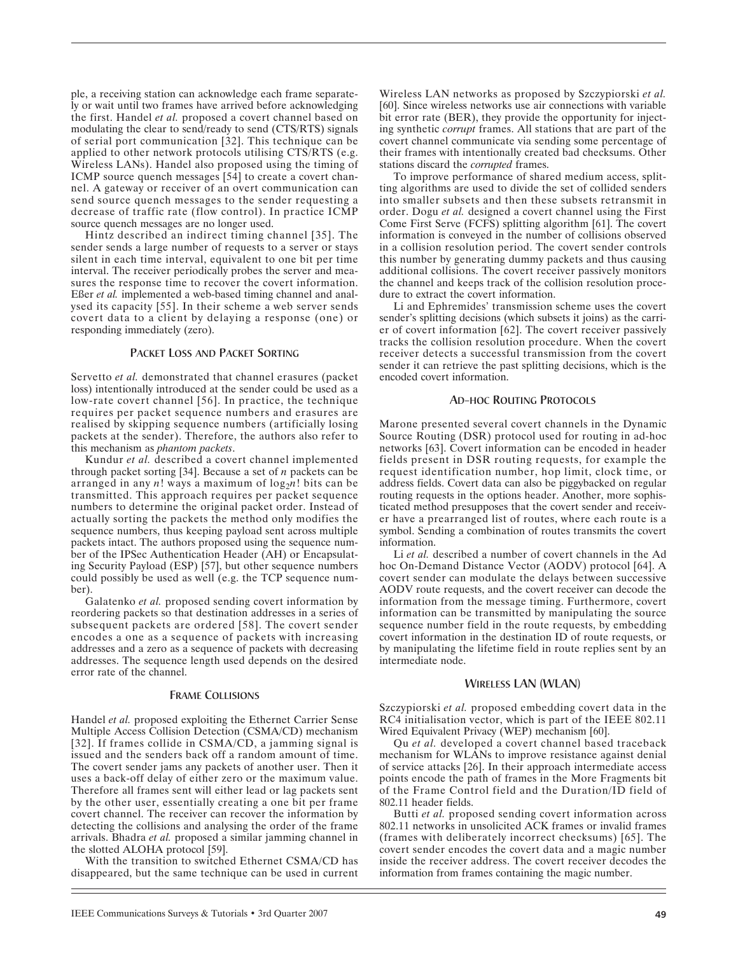ple, a receiving station can acknowledge each frame separately or wait until two frames have arrived before acknowledging the first. Handel *et al.* proposed a covert channel based on modulating the clear to send/ready to send (CTS/RTS) signals of serial port communication [32]. This technique can be applied to other network protocols utilising CTS/RTS (e.g. Wireless LANs). Handel also proposed using the timing of ICMP source quench messages [54] to create a covert channel. A gateway or receiver of an overt communication can send source quench messages to the sender requesting a decrease of traffic rate (flow control). In practice ICMP source quench messages are no longer used.

Hintz described an indirect timing channel [35]. The sender sends a large number of requests to a server or stays silent in each time interval, equivalent to one bit per time interval. The receiver periodically probes the server and measures the response time to recover the covert information. Eßer *et al.* implemented a web-based timing channel and analysed its capacity [55]. In their scheme a web server sends covert data to a client by delaying a response (one) or responding immediately (zero).

### PACKET LOSS AND PACKET SORTING

Servetto *et al.* demonstrated that channel erasures (packet loss) intentionally introduced at the sender could be used as a low-rate covert channel [56]. In practice, the technique requires per packet sequence numbers and erasures are realised by skipping sequence numbers (artificially losing packets at the sender). Therefore, the authors also refer to this mechanism as *phantom packets*.

Kundur *et al.* described a covert channel implemented through packet sorting [34]. Because a set of *n* packets can be arranged in any  $n!$  ways a maximum of  $log_2 n!$  bits can be transmitted. This approach requires per packet sequence numbers to determine the original packet order. Instead of actually sorting the packets the method only modifies the sequence numbers, thus keeping payload sent across multiple packets intact. The authors proposed using the sequence number of the IPSec Authentication Header (AH) or Encapsulating Security Payload (ESP) [57], but other sequence numbers could possibly be used as well (e.g. the TCP sequence number).

Galatenko *et al.* proposed sending covert information by reordering packets so that destination addresses in a series of subsequent packets are ordered [58]. The covert sender encodes a one as a sequence of packets with increasing addresses and a zero as a sequence of packets with decreasing addresses. The sequence length used depends on the desired error rate of the channel.

### FRAME COLLISIONS

Handel *et al.* proposed exploiting the Ethernet Carrier Sense Multiple Access Collision Detection (CSMA/CD) mechanism [32]. If frames collide in CSMA/CD, a jamming signal is issued and the senders back off a random amount of time. The covert sender jams any packets of another user. Then it uses a back-off delay of either zero or the maximum value. Therefore all frames sent will either lead or lag packets sent by the other user, essentially creating a one bit per frame covert channel. The receiver can recover the information by detecting the collisions and analysing the order of the frame arrivals. Bhadra *et al.* proposed a similar jamming channel in the slotted ALOHA protocol [59].

With the transition to switched Ethernet CSMA/CD has disappeared, but the same technique can be used in current Wireless LAN networks as proposed by Szczypiorski *et al.* [60]. Since wireless networks use air connections with variable bit error rate (BER), they provide the opportunity for injecting synthetic *corrupt* frames. All stations that are part of the covert channel communicate via sending some percentage of their frames with intentionally created bad checksums. Other stations discard the *corrupted* frames.

To improve performance of shared medium access, splitting algorithms are used to divide the set of collided senders into smaller subsets and then these subsets retransmit in order. Dogu *et al.* designed a covert channel using the First Come First Serve (FCFS) splitting algorithm [61]. The covert information is conveyed in the number of collisions observed in a collision resolution period. The covert sender controls this number by generating dummy packets and thus causing additional collisions. The covert receiver passively monitors the channel and keeps track of the collision resolution procedure to extract the covert information.

Li and Ephremides' transmission scheme uses the covert sender's splitting decisions (which subsets it joins) as the carrier of covert information [62]. The covert receiver passively tracks the collision resolution procedure. When the covert receiver detects a successful transmission from the covert sender it can retrieve the past splitting decisions, which is the encoded covert information.

#### AD-HOC ROUTING PROTOCOLS

Marone presented several covert channels in the Dynamic Source Routing (DSR) protocol used for routing in ad-hoc networks [63]. Covert information can be encoded in header fields present in DSR routing requests, for example the request identification number, hop limit, clock time, or address fields. Covert data can also be piggybacked on regular routing requests in the options header. Another, more sophisticated method presupposes that the covert sender and receiver have a prearranged list of routes, where each route is a symbol. Sending a combination of routes transmits the covert information.

Li *et al.* described a number of covert channels in the Ad hoc On-Demand Distance Vector (AODV) protocol [64]. A covert sender can modulate the delays between successive AODV route requests, and the covert receiver can decode the information from the message timing. Furthermore, covert information can be transmitted by manipulating the source sequence number field in the route requests, by embedding covert information in the destination ID of route requests, or by manipulating the lifetime field in route replies sent by an intermediate node.

### WIRELESS LAN (WLAN)

Szczypiorski *et al.* proposed embedding covert data in the RC4 initialisation vector, which is part of the IEEE 802.11 Wired Equivalent Privacy (WEP) mechanism [60].

Qu *et al.* developed a covert channel based traceback mechanism for WLANs to improve resistance against denial of service attacks [26]. In their approach intermediate access points encode the path of frames in the More Fragments bit of the Frame Control field and the Duration/ID field of 802.11 header fields.

Butti *et al.* proposed sending covert information across 802.11 networks in unsolicited ACK frames or invalid frames (frames with deliberately incorrect checksums) [65]. The covert sender encodes the covert data and a magic number inside the receiver address. The covert receiver decodes the information from frames containing the magic number.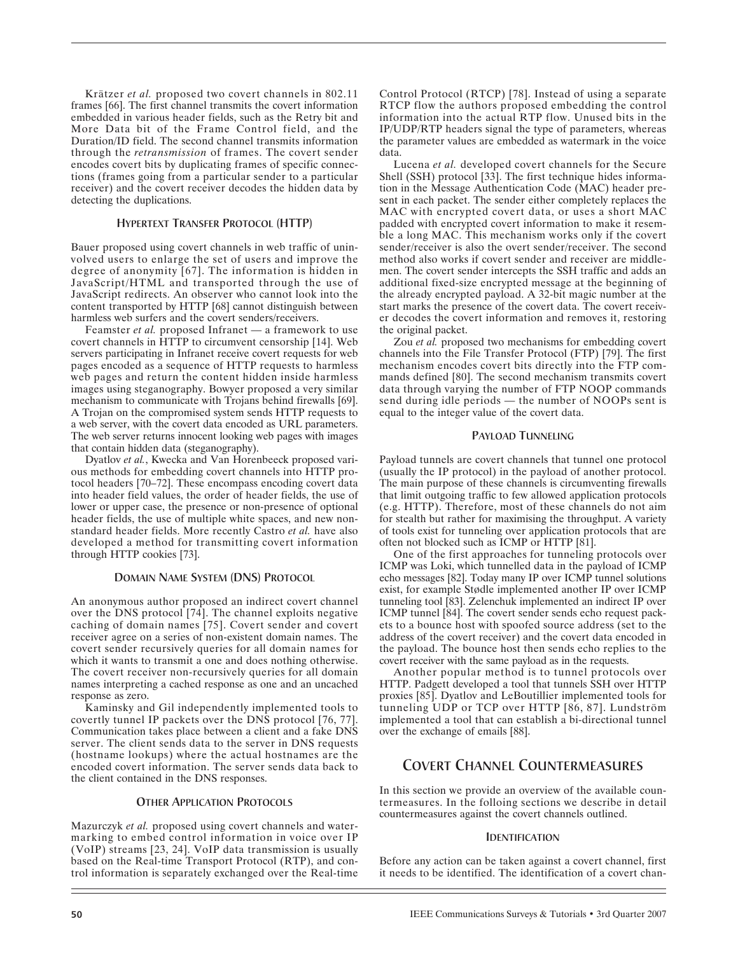Krätzer *et al.* proposed two covert channels in 802.11 frames [66]. The first channel transmits the covert information embedded in various header fields, such as the Retry bit and More Data bit of the Frame Control field, and the Duration/ID field. The second channel transmits information through the *retransmission* of frames. The covert sender encodes covert bits by duplicating frames of specific connections (frames going from a particular sender to a particular receiver) and the covert receiver decodes the hidden data by detecting the duplications.

# HYPERTEXT TRANSFER PROTOCOL (HTTP)

Bauer proposed using covert channels in web traffic of uninvolved users to enlarge the set of users and improve the degree of anonymity [67]. The information is hidden in JavaScript/HTML and transported through the use of JavaScript redirects. An observer who cannot look into the content transported by HTTP [68] cannot distinguish between harmless web surfers and the covert senders/receivers.

Feamster *et al.* proposed Infranet — a framework to use covert channels in HTTP to circumvent censorship [14]. Web servers participating in Infranet receive covert requests for web pages encoded as a sequence of HTTP requests to harmless web pages and return the content hidden inside harmless images using steganography. Bowyer proposed a very similar mechanism to communicate with Trojans behind firewalls [69]. A Trojan on the compromised system sends HTTP requests to a web server, with the covert data encoded as URL parameters. The web server returns innocent looking web pages with images that contain hidden data (steganography).

Dyatlov *et al.*, Kwecka and Van Horenbeeck proposed various methods for embedding covert channels into HTTP protocol headers [70–72]. These encompass encoding covert data into header field values, the order of header fields, the use of lower or upper case, the presence or non-presence of optional header fields, the use of multiple white spaces, and new nonstandard header fields. More recently Castro *et al.* have also developed a method for transmitting covert information through HTTP cookies [73].

### DOMAIN NAME SYSTEM (DNS) PROTOCOL

An anonymous author proposed an indirect covert channel over the DNS protocol [74]. The channel exploits negative caching of domain names [75]. Covert sender and covert receiver agree on a series of non-existent domain names. The covert sender recursively queries for all domain names for which it wants to transmit a one and does nothing otherwise. The covert receiver non-recursively queries for all domain names interpreting a cached response as one and an uncached response as zero.

Kaminsky and Gil independently implemented tools to covertly tunnel IP packets over the DNS protocol [76, 77]. Communication takes place between a client and a fake DNS server. The client sends data to the server in DNS requests (hostname lookups) where the actual hostnames are the encoded covert information. The server sends data back to the client contained in the DNS responses.

### OTHER APPLICATION PROTOCOLS

Mazurczyk *et al.* proposed using covert channels and watermarking to embed control information in voice over IP (VoIP) streams [23, 24]. VoIP data transmission is usually based on the Real-time Transport Protocol (RTP), and control information is separately exchanged over the Real-time Control Protocol (RTCP) [78]. Instead of using a separate RTCP flow the authors proposed embedding the control information into the actual RTP flow. Unused bits in the IP/UDP/RTP headers signal the type of parameters, whereas the parameter values are embedded as watermark in the voice data.

Lucena *et al.* developed covert channels for the Secure Shell (SSH) protocol [33]. The first technique hides information in the Message Authentication Code (MAC) header present in each packet. The sender either completely replaces the MAC with encrypted covert data, or uses a short MAC padded with encrypted covert information to make it resemble a long MAC. This mechanism works only if the covert sender/receiver is also the overt sender/receiver. The second method also works if covert sender and receiver are middlemen. The covert sender intercepts the SSH traffic and adds an additional fixed-size encrypted message at the beginning of the already encrypted payload. A 32-bit magic number at the start marks the presence of the covert data. The covert receiver decodes the covert information and removes it, restoring the original packet.

Zou *et al.* proposed two mechanisms for embedding covert channels into the File Transfer Protocol (FTP) [79]. The first mechanism encodes covert bits directly into the FTP commands defined [80]. The second mechanism transmits covert data through varying the number of FTP NOOP commands send during idle periods — the number of NOOPs sent is equal to the integer value of the covert data.

# PAYLOAD TUNNELING

Payload tunnels are covert channels that tunnel one protocol (usually the IP protocol) in the payload of another protocol. The main purpose of these channels is circumventing firewalls that limit outgoing traffic to few allowed application protocols (e.g. HTTP). Therefore, most of these channels do not aim for stealth but rather for maximising the throughput. A variety of tools exist for tunneling over application protocols that are often not blocked such as ICMP or HTTP [81].

One of the first approaches for tunneling protocols over ICMP was Loki, which tunnelled data in the payload of ICMP echo messages [82]. Today many IP over ICMP tunnel solutions exist, for example Stødle implemented another IP over ICMP tunneling tool [83]. Zelenchuk implemented an indirect IP over ICMP tunnel [84]. The covert sender sends echo request packets to a bounce host with spoofed source address (set to the address of the covert receiver) and the covert data encoded in the payload. The bounce host then sends echo replies to the covert receiver with the same payload as in the requests.

Another popular method is to tunnel protocols over HTTP. Padgett developed a tool that tunnels SSH over HTTP proxies [85]. Dyatlov and LeBoutillier implemented tools for tunneling UDP or TCP over HTTP [86, 87]. Lundström implemented a tool that can establish a bi-directional tunnel over the exchange of emails [88].

# COVERT CHANNEL COUNTERMEASURES

In this section we provide an overview of the available countermeasures. In the folloing sections we describe in detail countermeasures against the covert channels outlined.

### IDENTIFICATION

Before any action can be taken against a covert channel, first it needs to be identified. The identification of a covert chan-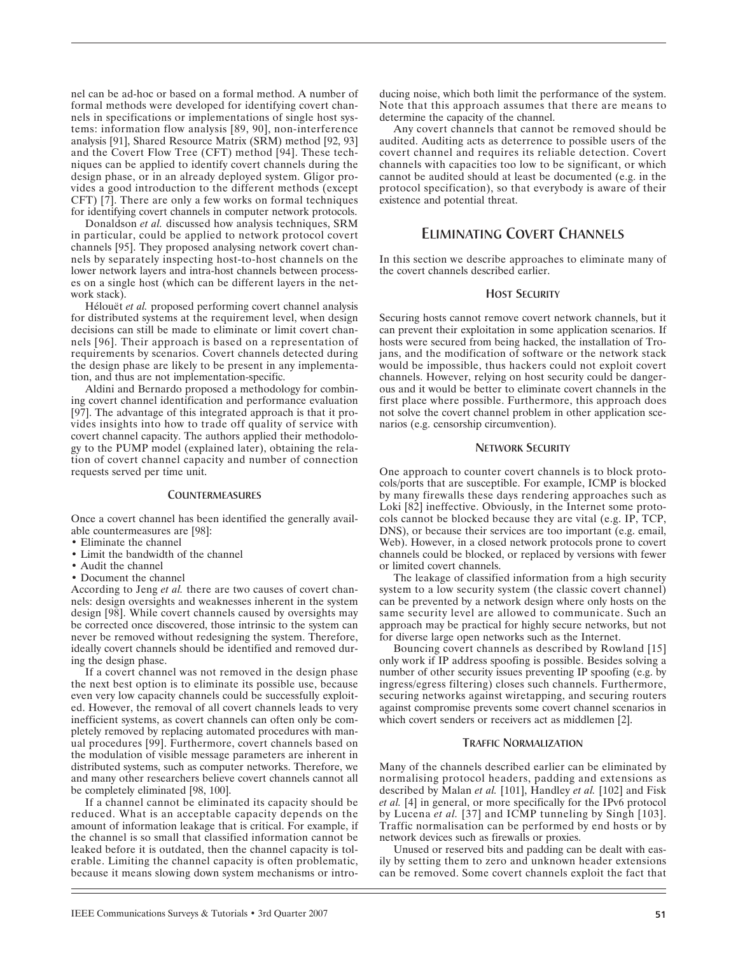nel can be ad-hoc or based on a formal method. A number of formal methods were developed for identifying covert channels in specifications or implementations of single host systems: information flow analysis [89, 90], non-interference analysis [91], Shared Resource Matrix (SRM) method [92, 93] and the Covert Flow Tree (CFT) method [94]. These techniques can be applied to identify covert channels during the design phase, or in an already deployed system. Gligor provides a good introduction to the different methods (except CFT) [7]. There are only a few works on formal techniques for identifying covert channels in computer network protocols.

Donaldson *et al.* discussed how analysis techniques, SRM in particular, could be applied to network protocol covert channels [95]. They proposed analysing network covert channels by separately inspecting host-to-host channels on the lower network layers and intra-host channels between processes on a single host (which can be different layers in the network stack).

Hélouët *et al.* proposed performing covert channel analysis for distributed systems at the requirement level, when design decisions can still be made to eliminate or limit covert channels [96]. Their approach is based on a representation of requirements by scenarios. Covert channels detected during the design phase are likely to be present in any implementation, and thus are not implementation-specific.

Aldini and Bernardo proposed a methodology for combining covert channel identification and performance evaluation [97]. The advantage of this integrated approach is that it provides insights into how to trade off quality of service with covert channel capacity. The authors applied their methodology to the PUMP model (explained later), obtaining the relation of covert channel capacity and number of connection requests served per time unit.

### **COUNTERMEASURES**

Once a covert channel has been identified the generally available countermeasures are [98]:

- Eliminate the channel
- Limit the bandwidth of the channel
- Audit the channel
- Document the channel

According to Jeng *et al.* there are two causes of covert channels: design oversights and weaknesses inherent in the system design [98]. While covert channels caused by oversights may be corrected once discovered, those intrinsic to the system can never be removed without redesigning the system. Therefore, ideally covert channels should be identified and removed during the design phase.

If a covert channel was not removed in the design phase the next best option is to eliminate its possible use, because even very low capacity channels could be successfully exploited. However, the removal of all covert channels leads to very inefficient systems, as covert channels can often only be completely removed by replacing automated procedures with manual procedures [99]. Furthermore, covert channels based on the modulation of visible message parameters are inherent in distributed systems, such as computer networks. Therefore, we and many other researchers believe covert channels cannot all be completely eliminated [98, 100].

If a channel cannot be eliminated its capacity should be reduced. What is an acceptable capacity depends on the amount of information leakage that is critical. For example, if the channel is so small that classified information cannot be leaked before it is outdated, then the channel capacity is tolerable. Limiting the channel capacity is often problematic, because it means slowing down system mechanisms or intro-

Any covert channels that cannot be removed should be audited. Auditing acts as deterrence to possible users of the covert channel and requires its reliable detection. Covert channels with capacities too low to be significant, or which cannot be audited should at least be documented (e.g. in the protocol specification), so that everybody is aware of their existence and potential threat.

# ELIMINATING COVERT CHANNELS

In this section we describe approaches to eliminate many of the covert channels described earlier.

# HOST SECURITY

Securing hosts cannot remove covert network channels, but it can prevent their exploitation in some application scenarios. If hosts were secured from being hacked, the installation of Trojans, and the modification of software or the network stack would be impossible, thus hackers could not exploit covert channels. However, relying on host security could be dangerous and it would be better to eliminate covert channels in the first place where possible. Furthermore, this approach does not solve the covert channel problem in other application scenarios (e.g. censorship circumvention).

### NETWORK SECURITY

One approach to counter covert channels is to block protocols/ports that are susceptible. For example, ICMP is blocked by many firewalls these days rendering approaches such as Loki [82] ineffective. Obviously, in the Internet some protocols cannot be blocked because they are vital (e.g. IP, TCP, DNS), or because their services are too important (e.g. email, Web). However, in a closed network protocols prone to covert channels could be blocked, or replaced by versions with fewer or limited covert channels.

The leakage of classified information from a high security system to a low security system (the classic covert channel) can be prevented by a network design where only hosts on the same security level are allowed to communicate. Such an approach may be practical for highly secure networks, but not for diverse large open networks such as the Internet.

Bouncing covert channels as described by Rowland [15] only work if IP address spoofing is possible. Besides solving a number of other security issues preventing IP spoofing (e.g. by ingress/egress filtering) closes such channels. Furthermore, securing networks against wiretapping, and securing routers against compromise prevents some covert channel scenarios in which covert senders or receivers act as middlemen [2].

#### TRAFFIC NORMALIZATION

Many of the channels described earlier can be eliminated by normalising protocol headers, padding and extensions as described by Malan *et al.* [101], Handley *et al.* [102] and Fisk *et al.* [4] in general, or more specifically for the IPv6 protocol by Lucena *et al.* [37] and ICMP tunneling by Singh [103]. Traffic normalisation can be performed by end hosts or by network devices such as firewalls or proxies.

Unused or reserved bits and padding can be dealt with easily by setting them to zero and unknown header extensions can be removed. Some covert channels exploit the fact that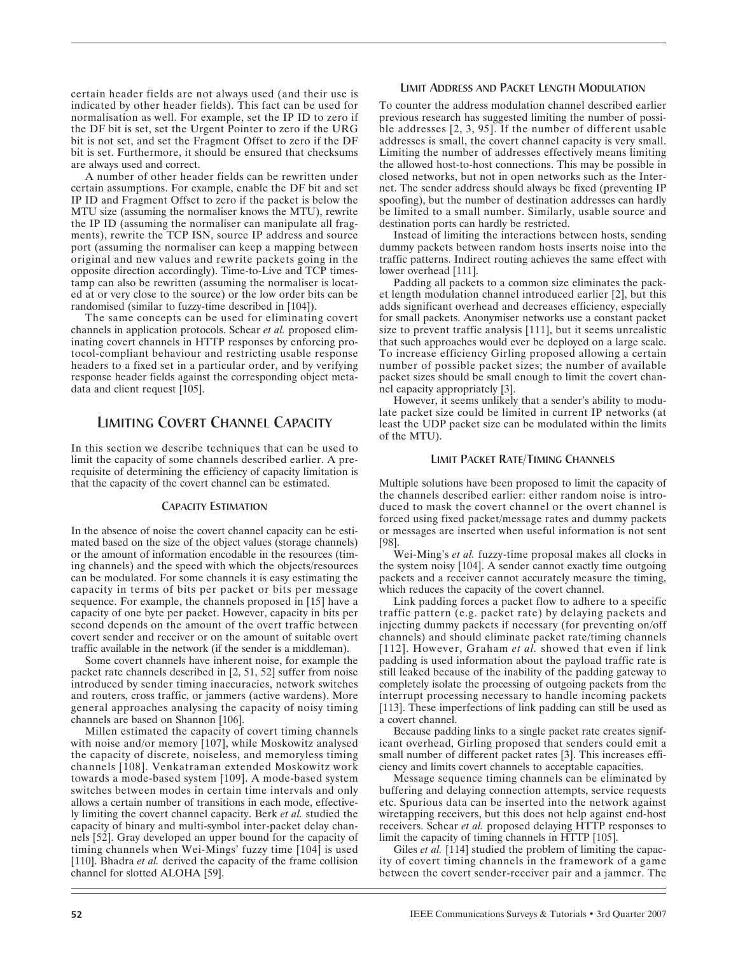certain header fields are not always used (and their use is indicated by other header fields). This fact can be used for normalisation as well. For example, set the IP ID to zero if the DF bit is set, set the Urgent Pointer to zero if the URG bit is not set, and set the Fragment Offset to zero if the DF bit is set. Furthermore, it should be ensured that checksums are always used and correct.

A number of other header fields can be rewritten under certain assumptions. For example, enable the DF bit and set IP ID and Fragment Offset to zero if the packet is below the MTU size (assuming the normaliser knows the MTU), rewrite the IP ID (assuming the normaliser can manipulate all fragments), rewrite the TCP ISN, source IP address and source port (assuming the normaliser can keep a mapping between original and new values and rewrite packets going in the opposite direction accordingly). Time-to-Live and TCP timestamp can also be rewritten (assuming the normaliser is located at or very close to the source) or the low order bits can be randomised (similar to fuzzy-time described in [104]).

The same concepts can be used for eliminating covert channels in application protocols. Schear *et al.* proposed eliminating covert channels in HTTP responses by enforcing protocol-compliant behaviour and restricting usable response headers to a fixed set in a particular order, and by verifying response header fields against the corresponding object metadata and client request [105].

# LIMITING COVERT CHANNEL CAPACITY

In this section we describe techniques that can be used to limit the capacity of some channels described earlier. A prerequisite of determining the efficiency of capacity limitation is that the capacity of the covert channel can be estimated.

### CAPACITY ESTIMATION

In the absence of noise the covert channel capacity can be estimated based on the size of the object values (storage channels) or the amount of information encodable in the resources (timing channels) and the speed with which the objects/resources can be modulated. For some channels it is easy estimating the capacity in terms of bits per packet or bits per message sequence. For example, the channels proposed in [15] have a capacity of one byte per packet. However, capacity in bits per second depends on the amount of the overt traffic between covert sender and receiver or on the amount of suitable overt traffic available in the network (if the sender is a middleman).

Some covert channels have inherent noise, for example the packet rate channels described in [2, 51, 52] suffer from noise introduced by sender timing inaccuracies, network switches and routers, cross traffic, or jammers (active wardens). More general approaches analysing the capacity of noisy timing channels are based on Shannon [106].

Millen estimated the capacity of covert timing channels with noise and/or memory [107], while Moskowitz analysed the capacity of discrete, noiseless, and memoryless timing channels [108]. Venkatraman extended Moskowitz work towards a mode-based system [109]. A mode-based system switches between modes in certain time intervals and only allows a certain number of transitions in each mode, effectively limiting the covert channel capacity. Berk *et al.* studied the capacity of binary and multi-symbol inter-packet delay channels [52]. Gray developed an upper bound for the capacity of timing channels when Wei-Mings' fuzzy time [104] is used [110]. Bhadra *et al.* derived the capacity of the frame collision channel for slotted ALOHA [59].

# LIMIT ADDRESS AND PACKET LENGTH MODULATION

To counter the address modulation channel described earlier previous research has suggested limiting the number of possible addresses [2, 3, 95]. If the number of different usable addresses is small, the covert channel capacity is very small. Limiting the number of addresses effectively means limiting the allowed host-to-host connections. This may be possible in closed networks, but not in open networks such as the Internet. The sender address should always be fixed (preventing IP spoofing), but the number of destination addresses can hardly be limited to a small number. Similarly, usable source and destination ports can hardly be restricted.

Instead of limiting the interactions between hosts, sending dummy packets between random hosts inserts noise into the traffic patterns. Indirect routing achieves the same effect with lower overhead [111].

Padding all packets to a common size eliminates the packet length modulation channel introduced earlier [2], but this adds significant overhead and decreases efficiency, especially for small packets. Anonymiser networks use a constant packet size to prevent traffic analysis [111], but it seems unrealistic that such approaches would ever be deployed on a large scale. To increase efficiency Girling proposed allowing a certain number of possible packet sizes; the number of available packet sizes should be small enough to limit the covert channel capacity appropriately [3].

However, it seems unlikely that a sender's ability to modulate packet size could be limited in current IP networks (at least the UDP packet size can be modulated within the limits of the MTU).

### LIMIT PACKET RATE/TIMING CHANNELS

Multiple solutions have been proposed to limit the capacity of the channels described earlier: either random noise is introduced to mask the covert channel or the overt channel is forced using fixed packet/message rates and dummy packets or messages are inserted when useful information is not sent [98].

Wei-Ming's *et al.* fuzzy-time proposal makes all clocks in the system noisy [104]. A sender cannot exactly time outgoing packets and a receiver cannot accurately measure the timing, which reduces the capacity of the covert channel.

Link padding forces a packet flow to adhere to a specific traffic pattern (e.g. packet rate) by delaying packets and injecting dummy packets if necessary (for preventing on/off channels) and should eliminate packet rate/timing channels [112]. However, Graham *et al.* showed that even if link padding is used information about the payload traffic rate is still leaked because of the inability of the padding gateway to completely isolate the processing of outgoing packets from the interrupt processing necessary to handle incoming packets [113]. These imperfections of link padding can still be used as a covert channel.

Because padding links to a single packet rate creates significant overhead, Girling proposed that senders could emit a small number of different packet rates [3]. This increases efficiency and limits covert channels to acceptable capacities.

Message sequence timing channels can be eliminated by buffering and delaying connection attempts, service requests etc. Spurious data can be inserted into the network against wiretapping receivers, but this does not help against end-host receivers. Schear *et al.* proposed delaying HTTP responses to limit the capacity of timing channels in HTTP [105].

Giles *et al.* [114] studied the problem of limiting the capacity of covert timing channels in the framework of a game between the covert sender-receiver pair and a jammer. The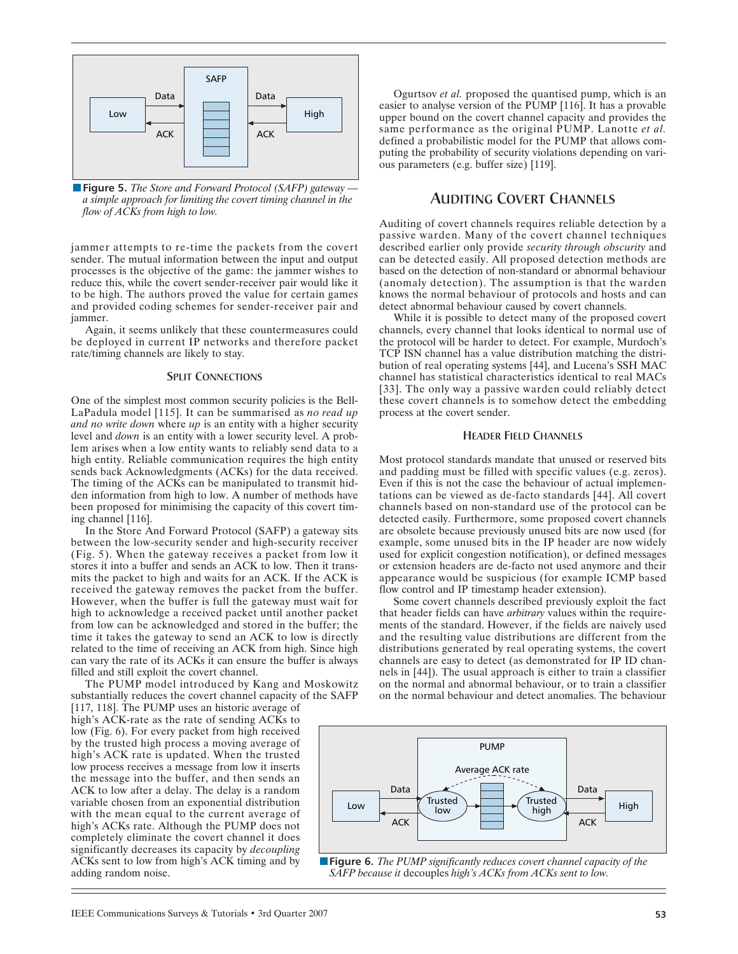

■ **Figure 5.** *The Store and Forward Protocol (SAFP) gateway* → *a simple approach for limiting the covert timing channel in the flow of ACKs from high to low.*

jammer attempts to re-time the packets from the covert sender. The mutual information between the input and output processes is the objective of the game: the jammer wishes to reduce this, while the covert sender-receiver pair would like it to be high. The authors proved the value for certain games and provided coding schemes for sender-receiver pair and jammer.

Again, it seems unlikely that these countermeasures could be deployed in current IP networks and therefore packet rate/timing channels are likely to stay.

### **SPLIT CONNECTIONS**

One of the simplest most common security policies is the Bell-LaPadula model [115]. It can be summarised as *no read up and no write down* where *up* is an entity with a higher security level and *down* is an entity with a lower security level. A problem arises when a low entity wants to reliably send data to a high entity. Reliable communication requires the high entity sends back Acknowledgments (ACKs) for the data received. The timing of the ACKs can be manipulated to transmit hidden information from high to low. A number of methods have been proposed for minimising the capacity of this covert timing channel [116].

In the Store And Forward Protocol (SAFP) a gateway sits between the low-security sender and high-security receiver (Fig. 5). When the gateway receives a packet from low it stores it into a buffer and sends an ACK to low. Then it transmits the packet to high and waits for an ACK. If the ACK is received the gateway removes the packet from the buffer. However, when the buffer is full the gateway must wait for high to acknowledge a received packet until another packet from low can be acknowledged and stored in the buffer; the time it takes the gateway to send an ACK to low is directly related to the time of receiving an ACK from high. Since high can vary the rate of its ACKs it can ensure the buffer is always filled and still exploit the covert channel.

The PUMP model introduced by Kang and Moskowitz substantially reduces the covert channel capacity of the SAFP

[117, 118]. The PUMP uses an historic average of high's ACK-rate as the rate of sending ACKs to low (Fig. 6). For every packet from high received by the trusted high process a moving average of high's ACK rate is updated. When the trusted low process receives a message from low it inserts the message into the buffer, and then sends an ACK to low after a delay. The delay is a random variable chosen from an exponential distribution with the mean equal to the current average of high's ACKs rate. Although the PUMP does not completely eliminate the covert channel it does significantly decreases its capacity by *decoupling* ACKs sent to low from high's ACK timing and by adding random noise.

Ogurtsov *et al.* proposed the quantised pump, which is an easier to analyse version of the PUMP [116]. It has a provable upper bound on the covert channel capacity and provides the same performance as the original PUMP. Lanotte *et al.* defined a probabilistic model for the PUMP that allows computing the probability of security violations depending on various parameters (e.g. buffer size) [119].

# AUDITING COVERT CHANNELS

Auditing of covert channels requires reliable detection by a passive warden. Many of the covert channel techniques described earlier only provide *security through obscurity* and can be detected easily. All proposed detection methods are based on the detection of non-standard or abnormal behaviour (anomaly detection). The assumption is that the warden knows the normal behaviour of protocols and hosts and can detect abnormal behaviour caused by covert channels.

While it is possible to detect many of the proposed covert channels, every channel that looks identical to normal use of the protocol will be harder to detect. For example, Murdoch's TCP ISN channel has a value distribution matching the distribution of real operating systems [44], and Lucena's SSH MAC channel has statistical characteristics identical to real MACs [33]. The only way a passive warden could reliably detect these covert channels is to somehow detect the embedding process at the covert sender.

### HEADER FIELD CHANNELS

Most protocol standards mandate that unused or reserved bits and padding must be filled with specific values (e.g. zeros). Even if this is not the case the behaviour of actual implementations can be viewed as de-facto standards [44]. All covert channels based on non-standard use of the protocol can be detected easily. Furthermore, some proposed covert channels are obsolete because previously unused bits are now used (for example, some unused bits in the IP header are now widely used for explicit congestion notification), or defined messages or extension headers are de-facto not used anymore and their appearance would be suspicious (for example ICMP based flow control and IP timestamp header extension).

Some covert channels described previously exploit the fact that header fields can have *arbitrary* values within the requirements of the standard. However, if the fields are naively used and the resulting value distributions are different from the distributions generated by real operating systems, the covert channels are easy to detect (as demonstrated for IP ID channels in [44]). The usual approach is either to train a classifier on the normal and abnormal behaviour, or to train a classifier on the normal behaviour and detect anomalies. The behaviour



**Figure 6.** *The PUMP significantly reduces covert channel capacity of the SAFP because it* decouples *high's ACKs from ACKs sent to low.*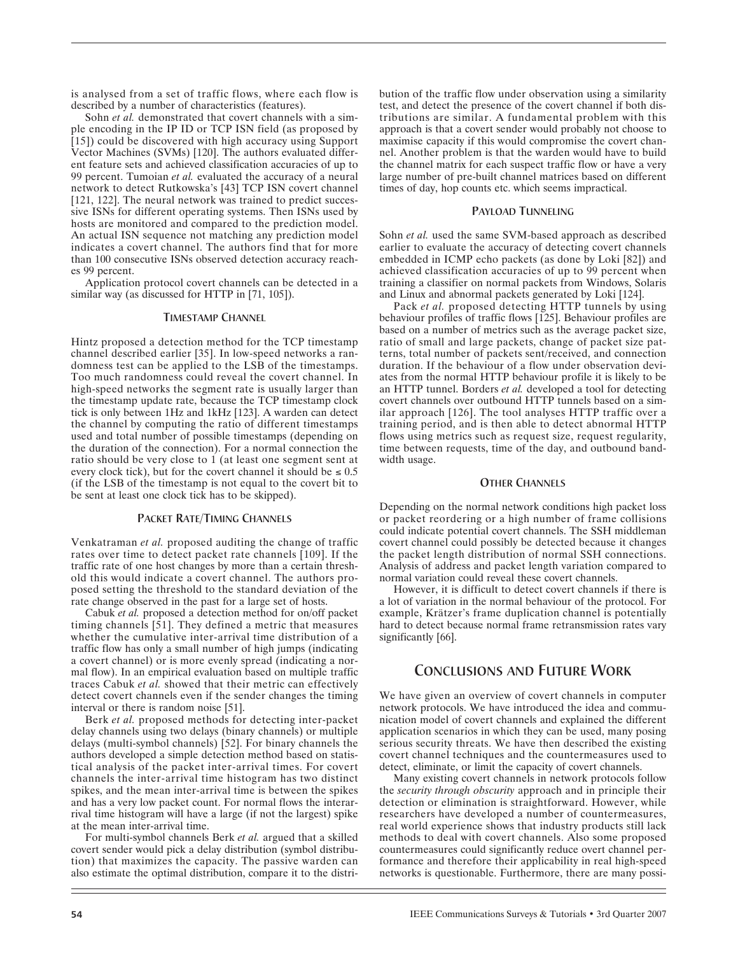is analysed from a set of traffic flows, where each flow is described by a number of characteristics (features).

Sohn *et al.* demonstrated that covert channels with a simple encoding in the IP ID or TCP ISN field (as proposed by [15]) could be discovered with high accuracy using Support Vector Machines (SVMs) [120]. The authors evaluated different feature sets and achieved classification accuracies of up to 99 percent. Tumoian *et al.* evaluated the accuracy of a neural network to detect Rutkowska's [43] TCP ISN covert channel [121, 122]. The neural network was trained to predict successive ISNs for different operating systems. Then ISNs used by hosts are monitored and compared to the prediction model. An actual ISN sequence not matching any prediction model indicates a covert channel. The authors find that for more than 100 consecutive ISNs observed detection accuracy reaches 99 percent.

Application protocol covert channels can be detected in a similar way (as discussed for HTTP in [71, 105]).

# TIMESTAMP CHANNEL

Hintz proposed a detection method for the TCP timestamp channel described earlier [35]. In low-speed networks a randomness test can be applied to the LSB of the timestamps. Too much randomness could reveal the covert channel. In high-speed networks the segment rate is usually larger than the timestamp update rate, because the TCP timestamp clock tick is only between 1Hz and 1kHz [123]. A warden can detect the channel by computing the ratio of different timestamps used and total number of possible timestamps (depending on the duration of the connection). For a normal connection the ratio should be very close to 1 (at least one segment sent at every clock tick), but for the covert channel it should be  $\leq 0.5$ (if the LSB of the timestamp is not equal to the covert bit to be sent at least one clock tick has to be skipped).

# PACKET RATE/TIMING CHANNELS

Venkatraman *et al.* proposed auditing the change of traffic rates over time to detect packet rate channels [109]. If the traffic rate of one host changes by more than a certain threshold this would indicate a covert channel. The authors proposed setting the threshold to the standard deviation of the rate change observed in the past for a large set of hosts.

Cabuk *et al.* proposed a detection method for on/off packet timing channels [51]. They defined a metric that measures whether the cumulative inter-arrival time distribution of a traffic flow has only a small number of high jumps (indicating a covert channel) or is more evenly spread (indicating a normal flow). In an empirical evaluation based on multiple traffic traces Cabuk *et al.* showed that their metric can effectively detect covert channels even if the sender changes the timing interval or there is random noise [51].

Berk *et al.* proposed methods for detecting inter-packet delay channels using two delays (binary channels) or multiple delays (multi-symbol channels) [52]. For binary channels the authors developed a simple detection method based on statistical analysis of the packet inter-arrival times. For covert channels the inter-arrival time histogram has two distinct spikes, and the mean inter-arrival time is between the spikes and has a very low packet count. For normal flows the interarrival time histogram will have a large (if not the largest) spike at the mean inter-arrival time.

For multi-symbol channels Berk *et al.* argued that a skilled covert sender would pick a delay distribution (symbol distribution) that maximizes the capacity. The passive warden can also estimate the optimal distribution, compare it to the distribution of the traffic flow under observation using a similarity test, and detect the presence of the covert channel if both distributions are similar. A fundamental problem with this approach is that a covert sender would probably not choose to maximise capacity if this would compromise the covert channel. Another problem is that the warden would have to build the channel matrix for each suspect traffic flow or have a very large number of pre-built channel matrices based on different times of day, hop counts etc. which seems impractical.

### PAYLOAD TUNNELING

Sohn *et al.* used the same SVM-based approach as described earlier to evaluate the accuracy of detecting covert channels embedded in ICMP echo packets (as done by Loki [82]) and achieved classification accuracies of up to 99 percent when training a classifier on normal packets from Windows, Solaris and Linux and abnormal packets generated by Loki [124].

Pack *et al.* proposed detecting HTTP tunnels by using behaviour profiles of traffic flows [125]. Behaviour profiles are based on a number of metrics such as the average packet size, ratio of small and large packets, change of packet size patterns, total number of packets sent/received, and connection duration. If the behaviour of a flow under observation deviates from the normal HTTP behaviour profile it is likely to be an HTTP tunnel. Borders *et al.* developed a tool for detecting covert channels over outbound HTTP tunnels based on a similar approach [126]. The tool analyses HTTP traffic over a training period, and is then able to detect abnormal HTTP flows using metrics such as request size, request regularity, time between requests, time of the day, and outbound bandwidth usage.

### **OTHER CHANNELS**

Depending on the normal network conditions high packet loss or packet reordering or a high number of frame collisions could indicate potential covert channels. The SSH middleman covert channel could possibly be detected because it changes the packet length distribution of normal SSH connections. Analysis of address and packet length variation compared to normal variation could reveal these covert channels.

However, it is difficult to detect covert channels if there is a lot of variation in the normal behaviour of the protocol. For example, Krätzer's frame duplication channel is potentially hard to detect because normal frame retransmission rates vary significantly [66].

# CONCLUSIONS AND FUTURE WORK

We have given an overview of covert channels in computer network protocols. We have introduced the idea and communication model of covert channels and explained the different application scenarios in which they can be used, many posing serious security threats. We have then described the existing covert channel techniques and the countermeasures used to detect, eliminate, or limit the capacity of covert channels.

Many existing covert channels in network protocols follow the *security through obscurity* approach and in principle their detection or elimination is straightforward. However, while researchers have developed a number of countermeasures, real world experience shows that industry products still lack methods to deal with covert channels. Also some proposed countermeasures could significantly reduce overt channel performance and therefore their applicability in real high-speed networks is questionable. Furthermore, there are many possi-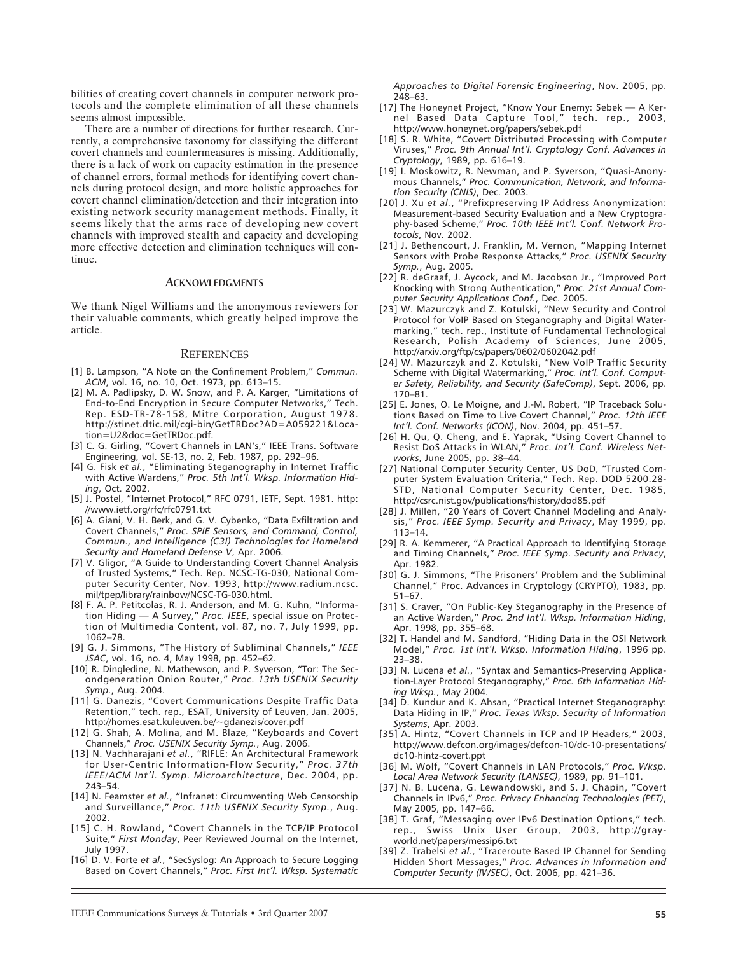bilities of creating covert channels in computer network protocols and the complete elimination of all these channels seems almost impossible.

There are a number of directions for further research. Currently, a comprehensive taxonomy for classifying the different covert channels and countermeasures is missing. Additionally, there is a lack of work on capacity estimation in the presence of channel errors, formal methods for identifying covert channels during protocol design, and more holistic approaches for covert channel elimination/detection and their integration into existing network security management methods. Finally, it seems likely that the arms race of developing new covert channels with improved stealth and capacity and developing more effective detection and elimination techniques will continue.

### **ACKNOWLEDGMENTS**

We thank Nigel Williams and the anonymous reviewers for their valuable comments, which greatly helped improve the article.

#### REFERENCES

- [1] B. Lampson, "A Note on the Confinement Problem," *Commun. ACM*, vol. 16, no. 10, Oct. 1973, pp. 613–15.
- [2] M. A. Padlipsky, D. W. Snow, and P. A. Karger, "Limitations of End-to-End Encryption in Secure Computer Networks," Tech. Rep. ESD-TR-78-158, Mitre Corporation, August 1978. http://stinet.dtic.mil/cgi-bin/GetTRDoc?AD=A059221&Location=U2&doc=GetTRDoc.pdf.
- [3] C. G. Girling, "Covert Channels in LAN's," IEEE Trans. Software Engineering, vol. SE-13, no. 2, Feb. 1987, pp. 292–96.
- [4] G. Fisk *et al.*, "Eliminating Steganography in Internet Traffic with Active Wardens," *Proc. 5th Int'l. Wksp. Information Hiding*, Oct. 2002.
- [5] J. Postel, "Internet Protocol," RFC 0791, IETF, Sept. 1981. http: //www.ietf.org/rfc/rfc0791.txt
- [6] A. Giani, V. H. Berk, and G. V. Cybenko, "Data Exfiltration and Covert Channels," *Proc. SPIE Sensors, and Command, Control, Commun., and Intelligence (C3I) Technologies for Homeland Security and Homeland Defense V*, Apr. 2006.
- [7] V. Gligor, "A Guide to Understanding Covert Channel Analysis of Trusted Systems," Tech. Rep. NCSC-TG-030, National Computer Security Center, Nov. 1993, http://www.radium.ncsc. mil/tpep/library/rainbow/NCSC-TG-030.html.
- [8] F. A. P. Petitcolas, R. J. Anderson, and M. G. Kuhn, "Information Hiding — A Survey," *Proc. IEEE*, special issue on Protection of Multimedia Content, vol. 87, no. 7, July 1999, pp. 1062–78.
- [9] G. J. Simmons, "The History of Subliminal Channels," *IEEE JSAC*, vol. 16, no. 4, May 1998, pp. 452–62.
- [10] R. Dingledine, N. Mathewson, and P. Syverson, "Tor: The Secondgeneration Onion Router," *Proc. 13th USENIX Security Symp.*, Aug. 2004.
- [11] G. Danezis, "Covert Communications Despite Traffic Data Retention," tech. rep., ESAT, University of Leuven, Jan. 2005, http://homes.esat.kuleuven.be/~gdanezis/cover.pdf
- [12] G. Shah, A. Molina, and M. Blaze, "Keyboards and Covert Channels," *Proc. USENIX Security Symp.*, Aug. 2006.
- [13] N. Vachharajani *et al.*, "RIFLE: An Architectural Framework for User-Centric Information-Flow Security," *Proc. 37th IEEE/ACM Int'l. Symp. Microarchitecture*, Dec. 2004, pp. 243–54.
- [14] N. Feamster *et al.*, "Infranet: Circumventing Web Censorship and Surveillance," *Proc. 11th USENIX Security Symp.*, Aug. 2002.
- [15] C. H. Rowland, "Covert Channels in the TCP/IP Protocol Suite," *First Monday*, Peer Reviewed Journal on the Internet, July 1997.
- [16] D. V. Forte *et al.*, "SecSyslog: An Approach to Secure Logging Based on Covert Channels," *Proc. First Int'l. Wksp. Systematic*

*Approaches to Digital Forensic Engineering*, Nov. 2005, pp. 248–63.

- [17] The Honeynet Project, "Know Your Enemy: Sebek A Kernel Based Data Capture Tool," tech. rep., 2003, http://www.honeynet.org/papers/sebek.pdf
- [18] S. R. White, "Covert Distributed Processing with Computer Viruses," *Proc. 9th Annual Int'l. Cryptology Conf. Advances in Cryptology*, 1989, pp. 616–19.
- [19] I. Moskowitz, R. Newman, and P. Syverson, "Quasi-Anonymous Channels," *Proc. Communication, Network, and Information Security (CNIS)*, Dec. 2003.
- [20] J. Xu *et al.*, "Prefixpreserving IP Address Anonymization: Measurement-based Security Evaluation and a New Cryptography-based Scheme," *Proc. 10th IEEE Int'l. Conf. Network Protocols*, Nov. 2002.
- [21] J. Bethencourt, J. Franklin, M. Vernon, "Mapping Internet Sensors with Probe Response Attacks," *Proc. USENIX Security Symp.*, Aug. 2005.
- [22] R. deGraaf, J. Aycock, and M. Jacobson Jr., "Improved Port Knocking with Strong Authentication," *Proc. 21st Annual Computer Security Applications Conf.*, Dec. 2005.
- [23] W. Mazurczyk and Z. Kotulski, "New Security and Control Protocol for VoIP Based on Steganography and Digital Watermarking," tech. rep., Institute of Fundamental Technological Research, Polish Academy of Sciences, June 2005, http://arxiv.org/ftp/cs/papers/0602/0602042.pdf
- [24] W. Mazurczyk and Z. Kotulski, "New VoIP Traffic Security Scheme with Digital Watermarking," *Proc. Int'l. Conf. Computer Safety, Reliability, and Security (SafeComp)*, Sept. 2006, pp. 170–81.
- [25] E. Jones, O. Le Moigne, and J.-M. Robert, "IP Traceback Solutions Based on Time to Live Covert Channel," *Proc. 12th IEEE Int'l. Conf. Networks (ICON)*, Nov. 2004, pp. 451–57.
- [26] H. Qu, Q. Cheng, and E. Yaprak, "Using Covert Channel to Resist DoS Attacks in WLAN," *Proc. Int'l. Conf. Wireless Networks*, June 2005, pp. 38–44.
- [27] National Computer Security Center, US DoD, "Trusted Computer System Evaluation Criteria," Tech. Rep. DOD 5200.28- STD, National Computer Security Center, Dec. 1985, http://csrc.nist.gov/publications/history/dod85.pdf
- [28] J. Millen, "20 Years of Covert Channel Modeling and Analysis," *Proc. IEEE Symp. Security and Privacy*, May 1999, pp. 113–14.
- [29] R. A. Kemmerer, "A Practical Approach to Identifying Storage and Timing Channels," *Proc. IEEE Symp. Security and Privacy*, Apr. 1982.
- [30] G. J. Simmons, "The Prisoners' Problem and the Subliminal Channel," Proc. Advances in Cryptology (CRYPTO), 1983, pp. 51–67.
- [31] S. Craver, "On Public-Key Steganography in the Presence of an Active Warden," *Proc. 2nd Int'l. Wksp. Information Hiding*, Apr. 1998, pp. 355–68.
- [32] T. Handel and M. Sandford, "Hiding Data in the OSI Network Model," *Proc. 1st Int'l. Wksp. Information Hiding*, 1996 pp. 23–38.
- [33] N. Lucena *et al.*, "Syntax and Semantics-Preserving Application-Layer Protocol Steganography," *Proc. 6th Information Hiding Wksp.*, May 2004.
- [34] D. Kundur and K. Ahsan, "Practical Internet Steganography: Data Hiding in IP," *Proc. Texas Wksp. Security of Information Systems*, Apr. 2003.
- [35] A. Hintz, "Covert Channels in TCP and IP Headers," 2003, http://www.defcon.org/images/defcon-10/dc-10-presentations/ dc10-hintz-covert.ppt
- [36] M. Wolf, "Covert Channels in LAN Protocols," *Proc. Wksp. Local Area Network Security (LANSEC)*, 1989, pp. 91–101.
- [37] N. B. Lucena, G. Lewandowski, and S. J. Chapin, "Covert Channels in IPv6," *Proc. Privacy Enhancing Technologies (PET)*, May 2005, pp. 147–66.
- [38] T. Graf, "Messaging over IPv6 Destination Options," tech. rep., Swiss Unix User Group, 2003, http://grayworld.net/papers/messip6.txt
- [39] Z. Trabelsi *et al.*, "Traceroute Based IP Channel for Sending Hidden Short Messages," *Proc. Advances in Information and Computer Security (IWSEC)*, Oct. 2006, pp. 421–36.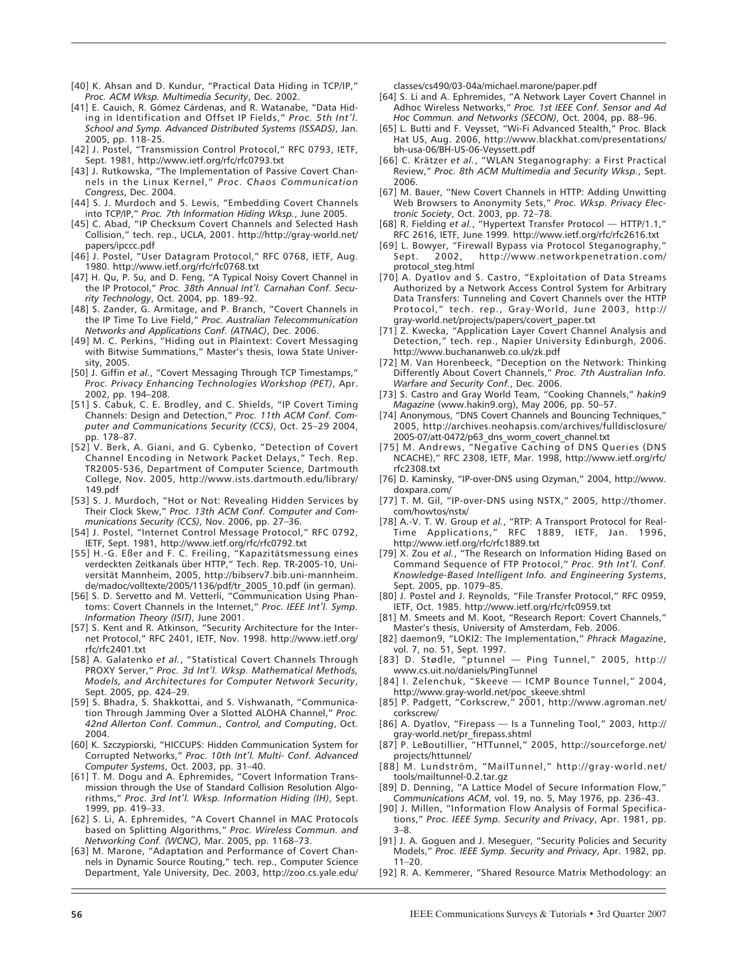- [40] K. Ahsan and D. Kundur, "Practical Data Hiding in TCP/IP," *Proc. ACM Wksp. Multimedia Security*, Dec. 2002.
- [41] E. Cauich, R. Gómez Cárdenas, and R. Watanabe, "Data Hiding in Identification and Offset IP Fields," *Proc. 5th Int'l. School and Symp. Advanced Distributed Systems (ISSADS)*, Jan. 2005, pp. 118–25.
- [42] J. Postel, "Transmission Control Protocol," RFC 0793, IETF, Sept. 1981, http://www.ietf.org/rfc/rfc0793.txt
- [43] J. Rutkowska, "The Implementation of Passive Covert Channels in the Linux Kernel," *Proc. Chaos Communication Congress*, Dec. 2004.
- [44] S. J. Murdoch and S. Lewis, "Embedding Covert Channels into TCP/IP," *Proc. 7th Information Hiding Wksp.*, June 2005.
- [45] C. Abad, "IP Checksum Covert Channels and Selected Hash Collision," tech. rep., UCLA, 2001. http://http://gray-world.net/ papers/ipccc.pdf
- [46] J. Postel, "User Datagram Protocol," RFC 0768, IETF, Aug. 1980. http://www.ietf.org/rfc/rfc0768.txt
- [47] H. Qu, P. Su, and D. Feng, "A Typical Noisy Covert Channel in the IP Protocol," *Proc. 38th Annual Int'l. Carnahan Conf. Security Technology*, Oct. 2004, pp. 189–92.
- [48] S. Zander, G. Armitage, and P. Branch, "Covert Channels in the IP Time To Live Field," *Proc. Australian Telecommunication Networks and Applications Conf. (ATNAC)*, Dec. 2006.
- [49] M. C. Perkins, "Hiding out in Plaintext: Covert Messaging with Bitwise Summations," Master's thesis, Iowa State University, 2005.
- [50] J. Giffin *et al.*, "Covert Messaging Through TCP Timestamps," *Proc. Privacy Enhancing Technologies Workshop (PET)*, Apr. 2002, pp. 194–208.
- [51] S. Cabuk, C. E. Brodley, and C. Shields, "IP Covert Timing Channels: Design and Detection," *Proc. 11th ACM Conf. Computer and Communications Security (CCS)*, Oct. 25–29 2004, pp. 178–87.
- [52] V. Berk, A. Giani, and G. Cybenko, "Detection of Covert Channel Encoding in Network Packet Delays," Tech. Rep. TR2005-536, Department of Computer Science, Dartmouth College, Nov. 2005, http://www.ists.dartmouth.edu/library/ 149.pdf
- [53] S. J. Murdoch, "Hot or Not: Revealing Hidden Services by Their Clock Skew," *Proc. 13th ACM Conf. Computer and Communications Security (CCS)*, Nov. 2006, pp. 27–36.
- [54] J. Postel, "Internet Control Message Protocol," RFC 0792, IETF, Sept. 1981, http://www.ietf.org/rfc/rfc0792.txt
- [55] H.-G. Eßer and F. C. Freiling, "Kapazitätsmessung eines verdeckten Zeitkanals über HTTP," Tech. Rep. TR-2005-10, Universität Mannheim, 2005, http://bibserv7.bib.uni-mannheim. de/madoc/volltexte/2005/1136/pdf/tr\_2005\_10.pdf (in german).
- [56] S. D. Servetto and M. Vetterli, "Communication Using Phantoms: Covert Channels in the Internet," *Proc. IEEE Int'l. Symp. Information Theory (ISIT)*, June 2001.
- [57] S. Kent and R. Atkinson, "Security Architecture for the Internet Protocol," RFC 2401, IETF, Nov. 1998. http://www.ietf.org/ rfc/rfc2401.txt
- [58] A. Galatenko *et al.*, "Statistical Covert Channels Through PROXY Server," *Proc. 3d Int'l. Wksp. Mathematical Methods, Models, and Architectures for Computer Network Security*, Sept. 2005, pp. 424–29.
- [59] S. Bhadra, S. Shakkottai, and S. Vishwanath, "Communication Through Jamming Over a Slotted ALOHA Channel," *Proc. 42nd Allerton Conf. Commun., Control, and Computing*, Oct. 2004.
- [60] K. Szczypiorski, "HICCUPS: Hidden Communication System for Corrupted Networks," *Proc. 10th Int'l. Multi- Conf. Advanced Computer Systems*, Oct. 2003, pp. 31–40.
- [61] T. M. Dogu and A. Ephremides, "Covert Information Transmission through the Use of Standard Collision Resolution Algorithms," *Proc. 3rd Int'l. Wksp. Information Hiding (IH)*, Sept. 1999, pp. 419–33.
- [62] S. Li, A. Ephremides, "A Covert Channel in MAC Protocols based on Splitting Algorithms," *Proc. Wireless Commun. and Networking Conf. (WCNC)*, Mar. 2005, pp. 1168–73.
- [63] M. Marone, "Adaptation and Performance of Covert Channels in Dynamic Source Routing," tech. rep., Computer Science Department, Yale University, Dec. 2003, http://zoo.cs.yale.edu/

classes/cs490/03-04a/michael.marone/paper.pdf

- [64] S. Li and A. Ephremides, "A Network Layer Covert Channel in Adhoc Wireless Networks," *Proc. 1st IEEE Conf. Sensor and Ad Hoc Commun. and Networks (SECON)*, Oct. 2004, pp. 88–96.
- [65] L. Butti and F. Veysset, "Wi-Fi Advanced Stealth," Proc. Black Hat US, Aug. 2006, http://www.blackhat.com/presentations/ bh-usa-06/BH-US-06-Veyssett.pdf
- [66] C. Krätzer *et al.*, "WLAN Steganography: a First Practical Review," *Proc. 8th ACM Multimedia and Security Wksp.*, Sept. 2006.
- [67] M. Bauer, "New Covert Channels in HTTP: Adding Unwitting Web Browsers to Anonymity Sets," *Proc. Wksp. Privacy Electronic Society*, Oct. 2003, pp. 72–78.
- [68] R. Fielding *et al.*, "Hypertext Transfer Protocol HTTP/1.1," RFC 2616, IETF, June 1999. http://www.ietf.org/rfc/rfc2616.txt
- [69] L. Bowyer, "Firewall Bypass via Protocol Steganography," http://www.networkpenetration.com/ protocol\_steg.html
- [70] A. Dyatlov and S. Castro, "Exploitation of Data Streams Authorized by a Network Access Control System for Arbitrary Data Transfers: Tunneling and Covert Channels over the HTTP Protocol," tech. rep., Gray-World, June 2003, http:// gray-world.net/projects/papers/covert\_paper.txt
- [71] Z. Kwecka, "Application Layer Covert Channel Analysis and Detection," tech. rep., Napier University Edinburgh, 2006. http://www.buchananweb.co.uk/zk.pdf
- [72] M. Van Horenbeeck, "Deception on the Network: Thinking Differently About Covert Channels," *Proc. 7th Australian Info. Warfare and Security Conf.*, Dec. 2006.
- [73] S. Castro and Gray World Team, "Cooking Channels," *hakin9 Magazine* (www.hakin9.org), May 2006, pp. 50–57.
- [74] Anonymous, "DNS Covert Channels and Bouncing Techniques," 2005, http://archives.neohapsis.com/archives/fulldisclosure/ 2005-07/att-0472/p63\_dns\_worm\_covert\_channel.txt
- [75] M. Andrews, "Negative Caching of DNS Queries (DNS NCACHE)," RFC 2308, IETF, Mar. 1998, http://www.ietf.org/rfc/ rfc2308.txt
- [76] D. Kaminsky, "IP-over-DNS using Ozyman," 2004, http://www. doxpara.com/
- [77] T. M. Gil, "IP-over-DNS using NSTX," 2005, http://thomer. com/howtos/nstx/
- [78] A.-V. T. W. Group *et al.*, "RTP: A Transport Protocol for Real-Time Applications," RFC 1889, IETF, Jan. 1996, http://www.ietf.org/rfc/rfc1889.txt
- [79] X. Zou *et al.*, "The Research on Information Hiding Based on Command Sequence of FTP Protocol," *Proc. 9th Int'l. Conf. Knowledge-Based Intelligent Info. and Engineering Systems*, Sept. 2005, pp. 1079–85.
- [80] J. Postel and J. Reynolds, "File Transfer Protocol," RFC 0959, IETF, Oct. 1985. http://www.ietf.org/rfc/rfc0959.txt
- [81] M. Smeets and M. Koot, "Research Report: Covert Channels," Master's thesis, University of Amsterdam, Feb. 2006.
- [82] daemon9, "LOKI2: The Implementation," *Phrack Magazine*, vol. 7, no. 51, Sept. 1997.<br>[83] D. Stødle, "ptunnel -
- $-$  Ping Tunnel," 2005, http:// www.cs.uit.no/daniels/PingTunnel
- [84] I. Zelenchuk, "Skeeve ICMP Bounce Tunnel," 2004, http://www.gray-world.net/poc\_skeeve.shtml
- [85] P. Padgett, "Corkscrew," 2001, http://www.agroman.net/ corkscrew/
- [86] A. Dyatlov, "Firepass Is a Tunneling Tool," 2003, http:// gray-world.net/pr\_firepass.shtml
- [87] P. LeBoutillier, "HTTunnel," 2005, http://sourceforge.net/ projects/httunnel/
- [88] M. Lundström, "MailTunnel," http://gray-world.net/ tools/mailtunnel-0.2.tar.gz
- [89] D. Denning, "A Lattice Model of Secure Information Flow," *Communications ACM*, vol. 19, no. 5, May 1976, pp. 236–43.
- [90] J. Millen, "Information Flow Analysis of Formal Specifications," *Proc. IEEE Symp. Security and Privacy*, Apr. 1981, pp. 3–8.
- [91] J. A. Goguen and J. Meseguer, "Security Policies and Security Models," *Proc. IEEE Symp. Security and Privacy*, Apr. 1982, pp. 11–20.
- [92] R. A. Kemmerer, "Shared Resource Matrix Methodology: an